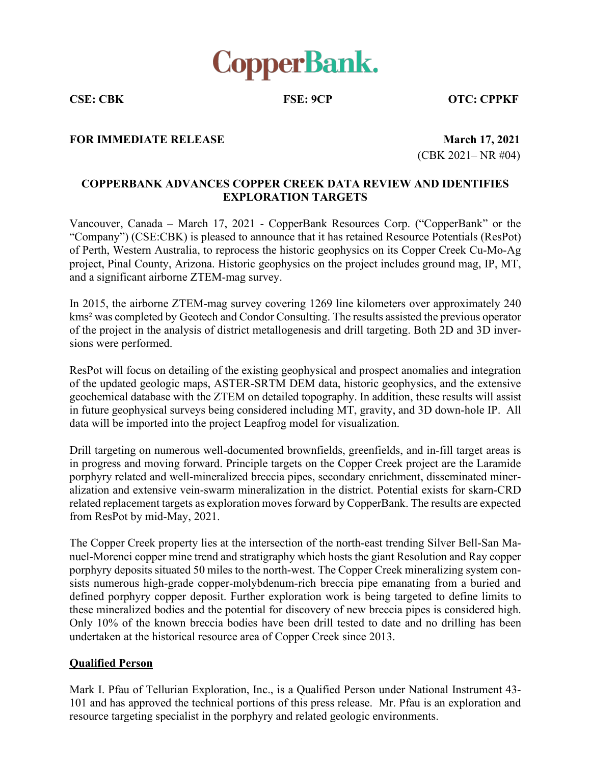

**CSE: CBK FSE: 9CP OTC: CPPKF**

## **FOR IMMEDIATE RELEASE March 17, 2021**

(CBK 2021– NR #04)

## **COPPERBANK ADVANCES COPPER CREEK DATA REVIEW AND IDENTIFIES EXPLORATION TARGETS**

Vancouver, Canada – March 17, 2021 - CopperBank Resources Corp. ("CopperBank" or the ³Company´) (CSE:CBK) is pleased to announce that it has retained Resource Potentials (ResPot) of Perth, Western Australia, to reprocess the historic geophysics on its Copper Creek Cu-Mo-Ag project, Pinal County, Arizona. Historic geophysics on the project includes ground mag, IP, MT, and a significant airborne ZTEM-mag survey.

In 2015, the airborne ZTEM-mag survey covering 1269 line kilometers over approximately 240 kms<sup>2</sup> was completed by Geotech and Condor Consulting. The results assisted the previous operator of the project in the analysis of district metallogenesis and drill targeting. Both 2D and 3D inversions were performed.

ResPot will focus on detailing of the existing geophysical and prospect anomalies and integration of the updated geologic maps, ASTER-SRTM DEM data, historic geophysics, and the extensive geochemical database with the ZTEM on detailed topography. In addition, these results will assist in future geophysical surveys being considered including MT, gravity, and 3D down-hole IP. All data will be imported into the project Leapfrog model for visualization.

Drill targeting on numerous well-documented brownfields, greenfields, and in-fill target areas is in progress and moving forward. Principle targets on the Copper Creek project are the Laramide porphyry related and well-mineralized breccia pipes, secondary enrichment, disseminated mineralization and extensive vein-swarm mineralization in the district. Potential exists for skarn-CRD related replacement targets as exploration moves forward by CopperBank. The results are expected from ResPot by mid-May, 2021.

The Copper Creek property lies at the intersection of the north-east trending Silver Bell-San Manuel-Morenci copper mine trend and stratigraphy which hosts the giant Resolution and Ray copper porphyry deposits situated 50 miles to the north-west. The Copper Creek mineralizing system consists numerous high-grade copper-molybdenum-rich breccia pipe emanating from a buried and defined porphyry copper deposit. Further exploration work is being targeted to define limits to these mineralized bodies and the potential for discovery of new breccia pipes is considered high. Only 10% of the known breccia bodies have been drill tested to date and no drilling has been undertaken at the historical resource area of Copper Creek since 2013.

## **Qualified Person**

Mark I. Pfau of Tellurian Exploration, Inc., is a Qualified Person under National Instrument 43- 101 and has approved the technical portions of this press release. Mr. Pfau is an exploration and resource targeting specialist in the porphyry and related geologic environments.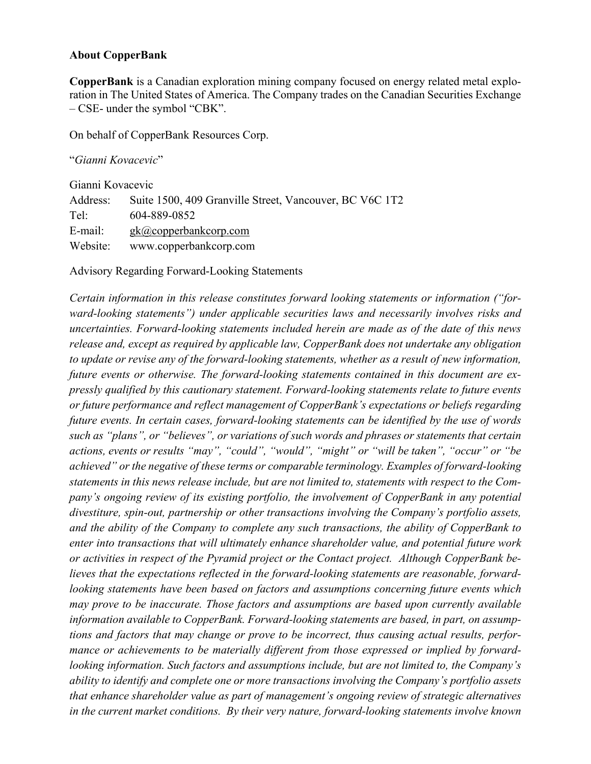## **About CopperBank**

**CopperBank** is a Canadian exploration mining company focused on energy related metal exploration in The United States of America. The Company trades on the Canadian Securities Exchange  $-$  CSE- under the symbol "CBK".

On behalf of CopperBank Resources Corp.

³*Gianni Kovacevic*´

| Gianni Kovacevic |                                                         |
|------------------|---------------------------------------------------------|
| Address:         | Suite 1500, 409 Granville Street, Vancouver, BC V6C 1T2 |
| Tel:             | 604-889-0852                                            |
| $E$ -mail:       | $g_k(a)$ copperbankcorp.com                             |
| Website:         | www.copperbankcorp.com                                  |

Advisory Regarding Forward-Looking Statements

*Certain information in this release constitutes forward looking statements or information ("forward-looking statements*") *under applicable securities laws and necessarily involves risks and uncertainties. Forward-looking statements included herein are made as of the date of this news release and, except as required by applicable law, CopperBank does not undertake any obligation to update or revise any of the forward-looking statements, whether as a result of new information, future events or otherwise. The forward-looking statements contained in this document are expressly qualified by this cautionary statement. Forward-looking statements relate to future events or future performance* and *reflect management of CopperBank's expectations or beliefs regarding future events. In certain cases, forward-looking statements can be identified by the use of words such as "plans", or "believes", or variations of such words and phrases or statements that certain actions, events or results "may", "could", "would", "might" or "will be taken", "occur" or "be achieYed´ or the negative of these terms or comparable terminology. Examples of forward-looking statements in this news release include, but are not limited to, statements with respect to the Com-SaQ\¶V ongoing review of its existing portfolio, the involvement of CopperBank in any potential divestiture, spin-out, partnership or other transactions involving the Company's portfolio assets, and the ability of the Company to complete any such transactions, the ability of CopperBank to enter into transactions that will ultimately enhance shareholder value, and potential future work or activities in respect of the Pyramid project or the Contact project. Although CopperBank believes that the expectations reflected in the forward-looking statements are reasonable, forwardlooking statements have been based on factors and assumptions concerning future events which may prove to be inaccurate. Those factors and assumptions are based upon currently available information available to CopperBank. Forward-looking statements are based, in part, on assumptions and factors that may change or prove to be incorrect, thus causing actual results, performance or achievements to be materially different from those expressed or implied by forwardlooking information. Such factors and assumptions include, but are not limited to, the Company's ability to identify and complete one or more transactions involving the Company's portfolio assets that* enhance shareholder value as part of management's ongoing review of strategic alternatives *in the current market conditions. By their very nature, forward-looking statements involve known*